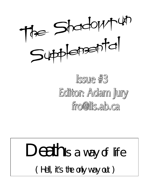

## Issure #3 Editor: Adam Jury fro@lis.ab.ca

# Death is a way of life ( Hell, it's the only way out )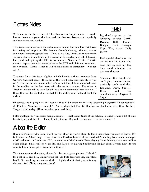## Editors Notes

Welcome to the third issue of The Shadowrun Supplemental. I would like to thank everyone who has read the first two issues, and hopefully say hi to some new readers.

This issue continues with the column-less theme, but now has text boxes for variety and emphasis. This issue is also table heavy, this may create some new formatting problems. If you use a Mac, Linux, or another unix variant, please let me know if it displays well, poorly, or at all. I haven't had good luck getting the RTF to work under WordPerfect7.. If it still doesn't display properly, there's always the PDF and plain text versions. How typical. 'Linux' is not in MS Word's built in dictionary. Wonder  $why? : )$ 

Two new fonts this issue, Ogilive, which I stole without remorse from Gurth's Kaboom! game. It's a bit on the weird side, but I like it. If you can't read the authors email address's in that font, I have included them in the credits, on the last page, with the authors names. The other is 'Decker', which will be used for all the decker comments from now on. I think this will be the last issue that I'll be adding new fonts, at least for awhile.

## Hello!

Big thanks go out to the following people: Gurth, Dvixen, Bull, Tinner, Dodger, Dark Avenger Skye, Wes, Apryl, Lady Jestyr.

Real special thanks to the writers for this issue, who have put up with my less than solid attention the past month or so.

And some other people that don't play Shadowrun and probably won't read this: Roxanne, Dawn, Sunette, Rick, and the complimentary 'Anyone I forgot'.

Of course, the Big Big news this issue is that FASA wrote me into the upcoming Target:UCAS sourcebook! :) I'm Fro 'Leading by example'. No royalties, but I'm still floating on cloud nine over this. Go buy Target:UCAS today! (If its out when you read this.)

I also apologize for this issue being a bit late — final exams times at my school, so I had to take a bit of time for studying and the like. Then, I just got lazy.. Oh, and I've lost access to the scanner : (

## About the Editor

If you don't know who I am, don't worry about it, you're about to learn more than you care to know. My full name is Adam Jury. I am Assistant Fearless Leader of the ShadowRN mailing list, channel manager of #Shadowrun on Undernet IRC, a member of the Internet Role-playing Game Society, and a few million other things. I'm seventeen years old, and have been playing Shadowrun for just about 3 years now. If you want to know more, get to know me better. : )

That's me over to the right, obviously. Its not a great picture.. I think I look fat in it, and hell, I'm far from fat. (As Bull describes me, I'm 'stick boy'). No mocking my messy desk, I highly doubt that yours is any cleaner. And if it is, congratulations!

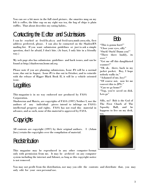You can see a bit more in the full sized picture.. the smarties mug on my left is coffee, the blue cup on my right was tea, the bag of chips is plain ruffles. That about describes my eating habits..

## Contacting the Editor and Submissions

I can be reached at fro@lis.ab.ca and fro@sara.mmlc.nwu.edu, first address preferred, please. I can also be contacted on the ShadowRN mailing list. If you want submission guidelines or just to ask a simple question, don't be afraid, I don't bite. (At least, I only bite in a friendly way.)

My web page also has submission guidelines and back issues, and can be found at http://shadowrun.home.ml.org

Please note if you are planning submissions, Issue #4 will be a normal issue, due out in August. Issue #5 is due out in October, and to coincide with the release of Rigger Black Book II, it will be a vehicle oriented issue.

## **Legalities**

This magazine is in no way endorsed nor produced by FASA Corporation.

Shadowrun and Matrix, are copyrights of FASA (1997) Neither I, nor the authors of any individual pieces intend to infringe on FASA's intellectual property and rights. FASA has not read this material in advance, and as such, none of this material is approved by FASA.

## **Copyrights**

All contents are copyright (1997) by their original authors. I (Adam Jury) retain the copyrights over the compilation of material.

## **Redistribution**

This magazine may be reproduced in any other computer format only with permission from me. It may be archived on any computer system including the internet and fidonet, as long as this copyright notice is not removed.

## Bob

"This is gonna hurt!" "Close your eyes, silly" "Ouch! Ouch! Damn you!" "There there buddy, its over." "Get me off this dangblasted scanner!" "Ok ok, there, back in my jacket pocket. Boy, I hope nobody walks in." "Ashamed of me, boy?" "Of course not, now let me convert this to JPG." "Can we go home?" "Yup, you're saved on disk. Lets go"

Silly, no? Bob is the God of The First Churh of The Sqooshy Ball, and he happens to live on my desk,



You may not profit from the distribution, nor may you edit the contents and distribute that, you may only edit for your own personal use.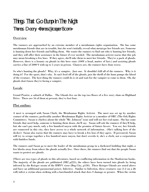## Things That Go Bump In The Night Thomas Deeny <thomas@cooper8.com>

### **Overview**

The runners are approached by an extreme member of a metahuman rights organization. She has some metahuman friends that are in trouble, but she won't initially reveal what metatype her friends are. Someone is hunting down her friends and killing them. She wants the runners to find out who is hunting her friends, and they will offer their assistance in the future if ever needed. The metahuman activist warns that this job may mean breaking a few laws. If they agree, she'll take them to meet her friends. They're a pack of ghouls. However, there is a bounty on ghouls in this here state (100¥ a head, matter of fact.) and assisting ghouls carries a fine of 5000 ¥ with up to 5 years in prison. Chances are, the runners have done worse.

So who's hunting the ghouls? Why, it's a vampire. Just one. It shouldn't kill all of the runners. Why is it doing it? For the sport, that's why. It can't feed off of the ghouls, just the thrill of the hunt pumps the blood of the creature. The best thing the runners could do is sit and wait for the vampire to come to them. Oh, the ghouls don't know they're facing a vampire.

#### Locale

Grand Prairie, a suburb of Dallas. The Ghouls live on the top two floors of a five story slum on Highland Drive. There are 16 of them at present, they've lost four.

#### Plot outline:

A meet is arranged with Susan Clark, the Metahuman Rights Activist. The meet was set up by another contact of the runners, preferably another Metahuman Rights Activist or a member of ORC (The Ork Rights Committee). Susan is clueless about the whole "Mr. Johnson" issue and will use her real name. She has some friends that need help, someone is hunting them down, she'll say. Susan will ask the runners if they'll help, but she can't pay much, only a few hundred nuyen with the promise of future favors. You see, her friends are connected in this city, they have access to a whole network of information. (She's talking here of the decker) Susan also warns that the runners may have to break a few laws if they agree. If pressured, Susan will try to scrape together a few hundred more nuyen, but don't overdo it, she's a clerk, not a corporation with limitless funds.

The runners and Susan go to meet the leader of the metahuman group in a darkened building that night, a few blocks away from where the ghouls actually live. Once there, the runners find out that the people Susan wants to protect are ghouls.

[There are two types of ghouls in this adventure, based on conflicting information in the Shadowrun books. The majority of the ghouls are goblinized (SR2 p225), the others have been turned into ghouls by being infected by the Krieger strain of the HMVV virus (Bug City, p150). These Krieger Ghouls are noted above and have an additional paranormal power, Infective. Similar to Infection, these creatures can (1-2 on a d6 roll) infect a victim when striking with a barehanded attack that does S damage or greater. When the victim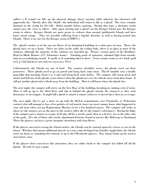suffers a D wound (or fills up the physical damage chart) anytime while infected, the character will apparently die. Shortly after this "death", the individual will return to life as a ghoul. The virus remains dormant in the victim for [8+1d6 - Body] months before expiring. During that time, a dormant victim cannot pass the virus to others. Only upon turning into a ghoul can the Krieger Ghoul pass the Krieger strain to others. Krieger Ghouls are more prone to violence than normal (goblinized) Ghouls and have faster mood swings. They are possibly suffering from a bipolar disorder as well as having turned into Ghouls. There is no cure for the Krieger strain of HMVV.]

The ghoul's enclave is in the top two floors of an abandoned building in a slum part of town. There, the ghouls have set up a home. There are holes in the walls, the ceiling leaks, there is no glass in most of the windows, although the majority of the windows are boarded up. Picture various parts of the Bradbury Hotel in Blade Runner (J.S. Sebastian's home). Standing pools of rainwater, minimal light from outside. And an overwhelming stench. It smells as if something died in there. Treat certain rooms as if a Stink spell [sr2, p 156] had been cast with two successes, TN:4.

Unfortunately, the Ghouls are out of food. The runners shouldn't worry, the ghouls won't eat their protectors. Three ghouls need to go on patrol and bring back some meat. They'll stumble onto a deadly gang fight that morning ('bout 2 or 3 am) and bring back some bodies. The vampire will swoop down and attack and kill one of the ghouls (your choice) when the ghouls are over five blocks away from their home. It will get another ghoul only a block away from the building. Then it will know where the ghouls live.

The next night, the vampire will arrive on the first floor of the building, breaking in, making a lot of noise. Then it will go up to the third floor and slip in behind the ghouls (maybe the runners) as they rush downstairs to investigate. It might kill a ghoul or attack a runner (whoever is last in line), then try to escape.

The next night, they've got a meet set up with the BioVat acquaintance (use Paramedic or Pedestrian contact) who will manage to lose a few packets of real muscle (now you street sammy know what happened to your old meat when you got Replacement Muscles 2) for a few hundred nuyen. The vampire will strike at wherever the runners are at, the meet or the enclave (after all, it's the runner's adventure). During the fight, if the vampire gets a chance to escape, he'll take off for a nearby park, then to a factory site at the other side of the park. [It's one of those old, nearly abandoned factories found in movies like Robocop or Darkman] There the players can have a great cinematic showdown with Sean Reece.

If the players succeed in saving the Ghoul enclave, the Ghouls can be counted upon for a favor or two in the future. Whether that means additional muscle on a run, some decking from Jennifer Applewhite, the Ghouls won't eat them, or something else entirely, is up to the GM and the players. Also, Susan Clark can be used to start future runs.

If the players don't succeed in this adventure, they are either dead or the vampire has killed off all the ghouls. Ah well, it's just a game.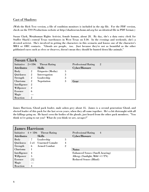#### Cast of Shadows

(With the Rich Text version, a file of condition monitors is included in the zip file. For the PDF version, check on the TSS Productions website at http://shadowrun.home.ml.org for an identical file in PDF format.)

Susan Clark, Metahuman Rights Activist, female human, about 28. By day, she's a data entry clerk for Stuffer Shack's central Texas warehouses in West Texas on I-30. In the evenings and weekends, she's a devoted activist. She's involved in getting the characters in this scenario and knows one of the character's MRA or ORC contacts. "Ghouls are people, too. Just because they're not as beautiful as the other goblinized races such as elves or dwarves, doesn't mean they should be hunted down like animals."

| <b>Susan Clark</b> |                |                      |              |                            |                |  |
|--------------------|----------------|----------------------|--------------|----------------------------|----------------|--|
| Initiative 2+1D6   |                | <b>Threat Rating</b> |              | <b>Professional Rating</b> | $\overline{2}$ |  |
| <b>Attributes</b>  |                | <b>Skills</b>        |              | Cyber/Bioware              |                |  |
| <b>Body</b>        | $\overline{2}$ | Etiquette (Media)    | $\mathbf{5}$ |                            |                |  |
| Quickness          | $\overline{2}$ | Interrogation        | 3            |                            |                |  |
| Strength           | $\overline{2}$ | Leadership           | 3            |                            |                |  |
| Charisma           | $\overline{2}$ | <b>Negotiation</b>   | 3            | Gear                       |                |  |
| Intelligence       | $\overline{2}$ |                      |              |                            |                |  |
| Willpower          | $\overline{2}$ |                      |              |                            |                |  |
| <b>Essence</b>     | 6              |                      |              |                            |                |  |
| Magic              |                |                      |              |                            |                |  |
| Reaction           | 2              |                      |              |                            |                |  |

James Harrison, Ghoul pack leader, male ashen grey about 35. James is a second generation Ghoul, and elected leader of this pack for the last seven years, when they all came together. He's a bit distraught with all the killings going on. He hasn't seen the bodies of the ghouls, just heard from the other pack members. "You think we're going to eat you? What do you think we are, savages?"

| <b>James Harrison</b> |                |                       |                |                                              |  |  |  |
|-----------------------|----------------|-----------------------|----------------|----------------------------------------------|--|--|--|
| Initiative $4 + 1D6$  |                | Threat Rating         |                | <b>Professional Rating</b><br>$\overline{4}$ |  |  |  |
| <b>Attributes</b>     |                | <b>Skills</b>         |                | Cyber/Bioware                                |  |  |  |
| Body                  | $\mathbf{7}$   | Leadership            | 5              |                                              |  |  |  |
| Quickness             | 5x4            | <b>Unarmed Comabt</b> | 4              |                                              |  |  |  |
| Strength              | 6              | <b>Armed Combat</b>   | $\overline{2}$ |                                              |  |  |  |
| <b>Charisma</b>       | 1              |                       |                | <b>Notes</b>                                 |  |  |  |
| Intelligence          | $\overline{4}$ |                       |                | <b>Enhanced Senses (Smell, hearing)</b>      |  |  |  |
| Willpower             | 5.             |                       |                | Allergy (Sunlight, Mild +1 TN)               |  |  |  |
| Essence               | [5]            |                       |                | <b>Reduced Senses (Blind)</b>                |  |  |  |
| Magic                 |                |                       |                |                                              |  |  |  |
| Reaction              | 4              |                       |                |                                              |  |  |  |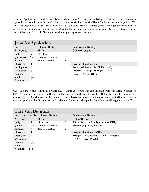Jennifer Applewhite, Ghoul Decker, female white about 21. Caught the Krieger strain of HMVV two years ago and was brought into this pack. She's an average decker (use the Elven Decker's deck on page 80 of VR 2.0) and uses her deck to check in with BioVat's Grand Prairie affiliate (where she's got an acquaintance who loses a few body parts now and then) and with the local morgues and hospitals for food. "Gang fight at Santa Clara and Mashall. We might be able to pick up some fresh meat."

|                   | <b>Jennifer Applewhite</b> |                       |   |                                          |                |  |  |  |
|-------------------|----------------------------|-----------------------|---|------------------------------------------|----------------|--|--|--|
| Initiative        |                            | <b>Threat Rating</b>  |   | <b>Professional Rating</b>               | $\overline{2}$ |  |  |  |
| <b>Attributes</b> |                            | <b>Skills</b>         |   | Cyber/Bioware                            |                |  |  |  |
| Body              |                            | Decking               | 5 |                                          |                |  |  |  |
| Quickness         | 5x4                        | <b>Unarmed Combat</b> | 3 |                                          |                |  |  |  |
| Strength          | 4                          | <b>Armed Combat</b>   |   |                                          |                |  |  |  |
| Charisma          | L                          |                       |   | <b>Powers/Weaknesses</b>                 |                |  |  |  |
| Intelligence      | 5                          |                       |   | <b>Enhanced Senses (Smell, Hearing),</b> |                |  |  |  |
| Willpower         | 6                          |                       |   | Infective, Allergy (Sunlight, Mild +1TN) |                |  |  |  |
| Essence           | [5]                        |                       |   | <b>Reduced Senses (Blind)</b>            |                |  |  |  |
| Magic             |                            |                       |   |                                          |                |  |  |  |
| Reaction          | 5                          |                       |   |                                          |                |  |  |  |

Curt Van De Walle, Ghoul, ash white male, about 25. Curt was also infected with the Krieger strain of HMVV when he was younger, although he has been a Ghoul since he was 21. Before turning, he was a street samurai, part of a shadowrunning team that was destroyed when attacking an enclave of Ghouls. He has now accepted his ghoulish nature, and is the lead fighter for this pack. "You don't smell to good yourself."

| <b>Curt Van De Walle</b> |                   |                                    |                |                                              |  |  |
|--------------------------|-------------------|------------------------------------|----------------|----------------------------------------------|--|--|
|                          |                   | Initiative $6 + 2D6$ Threat Rating |                | <b>Professional Rating</b><br>$\overline{4}$ |  |  |
| <b>Attributes</b>        |                   | <b>Skills</b>                      |                | Cyber/Bioware                                |  |  |
| Body                     | $\mathbf{7}$      | <b>Firearms</b>                    | $\mathbf{5}$   | Wired Reflexes 2 (only works as WR1)         |  |  |
| Quickness                | 5x4               | <b>Unarmed Combat</b>              | 4              | Thermographic cybereyes                      |  |  |
| Strength                 | 6                 | <b>Armed Combat</b>                | $\overline{2}$ |                                              |  |  |
| Charisma                 | 1                 |                                    |                | Powers/Weaknesses/Gear                       |  |  |
| Intelligence             | 4                 |                                    |                | Allergy (Sunlight, Mild +1TN) Infective      |  |  |
| Willpower                | 5                 |                                    |                | HK227-S, Ares Predator                       |  |  |
| <b>Essence</b>           | $\lceil 3 \rceil$ |                                    |                |                                              |  |  |
| Magic                    |                   |                                    |                |                                              |  |  |
| Reaction                 | 4[6]              |                                    |                |                                              |  |  |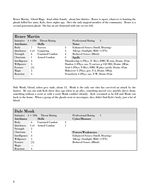Renee Martin, Ghoul Mage, dead white female, about late thirties. Renee is upset, whatever is hunting the ghouls killed her mate, Kyle, three nights ago. She's the only magical member of the community. Renee is a second generation ghoul. She has an air elemental with one service left.

| <b>Renee Martin</b> |                   |                                    |                |                                                       |  |  |
|---------------------|-------------------|------------------------------------|----------------|-------------------------------------------------------|--|--|
|                     |                   | Initiative $4 + 1D6$ Threat Rating |                | $\overline{2}$<br><b>Professional Rating</b>          |  |  |
| <b>Attributes</b>   |                   | Skills                             |                | <b>Notes</b>                                          |  |  |
| <b>Body</b>         | $\overline{7}$    | <b>Sorcery</b>                     | 5              | <b>Enhanced Senses (Smell, Hearing)</b>               |  |  |
| Quickness           | 5x4               | Conjuring                          | 3              | Allergy (Sunlight, Mild $+1TN$ )                      |  |  |
| Strength            | 6                 | <b>Unarmed Combat</b>              | 4              | <b>Reduced Senses (Blind)</b>                         |  |  |
| Charisma            | $\mathbf{I}$      | <b>Armed Combat</b>                | $\overline{2}$ | <b>Spells</b>                                         |  |  |
| Intelligence        | 4                 |                                    |                | Thunderclap 4 (Phys, T: B(r), DMG M stun, Drain: 2S)m |  |  |
| Willpower           | 5                 |                                    |                | Shadow 5 (Phys, sus, T:var(see p 158 SR2, Drain: 4M)m |  |  |
| <b>Essence</b>      | $\lceil 5 \rceil$ |                                    |                | Acid 4 (Phys, T:B(r), DMG M phys (acid), Drain: 3S)m  |  |  |
| Magic               | 5                 |                                    |                | Makeover 3 (Phys, per, T:4, Drain: 3M)m               |  |  |
| <b>Reaction</b>     | $\overline{4}$    |                                    |                | Transform 4 (Phys, sus, T:W, Drain 4S)m               |  |  |
|                     |                   |                                    |                |                                                       |  |  |

Dale Monk, Ghoul, ashen grey male, about 15. Monk is the only one who has survived an attack by the hunter. He was out with Kyle three days ago when in an alley, something moved very quickly above them, something without a scent or with a scent Monk couldn't identify. Kyle screamed as he fell and Monk ran back to the home. When a group of the ghouls went to investigate, they didn't find Kyle's body, just a lot of blood.

| Dale Monk            |                            |   |                                         |  |  |  |  |
|----------------------|----------------------------|---|-----------------------------------------|--|--|--|--|
| Initiative $4 + 1D6$ | <b>Threat Rating</b>       |   | -1<br><b>Professional Rating</b>        |  |  |  |  |
| <b>Attributes</b>    | <b>Skills</b>              |   | Cyber/Bioware                           |  |  |  |  |
| Body                 | <b>Unarmed Combat</b><br>6 | 3 |                                         |  |  |  |  |
| Quickness            | 5 x4 Armed Combat          |   |                                         |  |  |  |  |
| Strength             | 5                          |   |                                         |  |  |  |  |
| Charisma             | 1                          |   | <b>Powers/Weaknesses</b>                |  |  |  |  |
| Intelligence         | $\overline{4}$             |   | <b>Enhanced Senses (Smell, Hearing)</b> |  |  |  |  |
| Willpower            | 5                          |   | Allergy (Sunlight, Mild $+1TN$ )        |  |  |  |  |
| <b>Essence</b>       | $\lceil 5 \rceil$          |   | <b>Reduced Senses (Blind)</b>           |  |  |  |  |
| Magic                |                            |   |                                         |  |  |  |  |
| <b>Reaction</b>      | 4                          |   |                                         |  |  |  |  |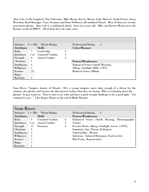Alan Cole, Leslie Langford, Tim Schroeder, Mike Moran, Kerrie Moran, Luke Marivel, Linda Porter, Jason Werchan, Brad Bruegger, Tony Norman, and Dane DeRouen, all standard Ghouls. Most of them are second generation ghouls, Alan Cole is a goblinized ghoul, forty-two years old. Mike and Kerrie Moran have the Krieger strain of HMVV. All of them have the same stats:

| Initiative $4 + 1D6$ |        | <b>Threat Rating</b>  |                | $\overline{4}$<br><b>Professional Rating</b> |  |
|----------------------|--------|-----------------------|----------------|----------------------------------------------|--|
| <b>Attributes</b>    |        | <b>Skills</b>         |                | Cyber/Bioware                                |  |
| <b>Body</b>          | $\tau$ | Leadership            | 5              |                                              |  |
| Quickness            | 5x4    | <b>Unarmed Combat</b> | 4              |                                              |  |
| Strength             | 6      | <b>Armed Combat</b>   | $\overline{2}$ |                                              |  |
| Charisma             | 1      |                       |                | <b>Powers/Weaknesses</b>                     |  |
| Intelligence         | 4      |                       |                | <b>Enhanced Senses (Smell, Hearing)</b>      |  |
| Willpower            | 5      |                       |                | Allergy (Sunlight, Mild +1TN)                |  |
| <b>Essence</b>       | [5]    |                       |                | <b>Reduced Senses (Blind)</b>                |  |
| Magic                |        |                       |                |                                              |  |
| Reaction             | 4      |                       |                |                                              |  |

Sean Reece, Vampire, hunter of Ghouls. He's a young vampire, more than enough of a threat for the runners, the ghouls, and anyone else that doesn't realize what they are facing. Why is it hunting down the ghouls? It just wants to. They're fun to toy with and have a good enough challenge to be a good fight. "I'm coming for you...." Like Rutger Hauer at the end of Blade Runner.

| <b>Sean Reece</b>    |                |                       |                |                                                |  |  |
|----------------------|----------------|-----------------------|----------------|------------------------------------------------|--|--|
| Initiative $1 + 5D6$ |                | <b>Threat Rating</b>  |                | <b>Professional Rating</b><br>$\overline{4}$   |  |  |
| <b>Attributes</b>    |                | <b>Skills</b>         |                | <b>Powers/Weaknesses</b>                       |  |  |
| Body                 | $\overline{4}$ | <b>Unarmed Combat</b> | 6              | Enhanced Senses (Smell, Hearing, Thermographic |  |  |
| Quickness            | $5 \times 5$   | – Armed Combat        | 4              | Vision)                                        |  |  |
| Strength             | -11            | <b>Firearms</b>       | $\overline{2}$ | Essence Drain Allergy (Sunlight, Severe +2TN), |  |  |
| Charisma             | 3              |                       |                | Immunity (Age, Poison, Pathogen),              |  |  |
| Intelligence         | 5              |                       |                | Vulnerability (Wood)                           |  |  |
| Willpower            | 4              |                       |                | Infection, Induced Dormancy (Lack of Air)      |  |  |
| <b>Essence</b>       |                |                       |                | Mist Form, Regeneration                        |  |  |
| Magic                | 7              |                       |                |                                                |  |  |
| Reaction             | 5              |                       |                |                                                |  |  |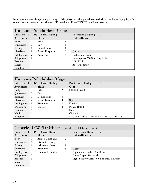Now, here's where things can get tricky. If the players really get sidetracked, they could wind up going after some Humanis members or Alamos 20K members. Even DFWPD could get involved

| Humanis Policlubber Drone |                |                                    |   |                                              |  |  |  |
|---------------------------|----------------|------------------------------------|---|----------------------------------------------|--|--|--|
|                           |                | Initiative $3 + 1D6$ Threat Rating |   | $\overline{2}$<br><b>Professional Rating</b> |  |  |  |
| <b>Attributes</b>         |                | <b>Skills</b>                      |   | Cyber/Bioware                                |  |  |  |
| <b>Body</b>               | $\overline{4}$ | Bike                               | 3 |                                              |  |  |  |
| Quickness                 | $\overline{4}$ | Car                                | 3 |                                              |  |  |  |
| Strength                  | $\overline{4}$ | Demolitions                        | 4 |                                              |  |  |  |
| Charisma                  | $\overline{2}$ | <b>Street Etiquette</b>            | 3 | Gear                                         |  |  |  |
| Intelligence              | $\overline{2}$ | Firearms                           | 3 | Pick one weapon:                             |  |  |  |
| Willpower                 | $\overline{4}$ |                                    |   | <b>Remingtons 750 Sporting Rifle</b>         |  |  |  |
| <b>Essence</b>            | 6              |                                    |   | <b>HK227-S</b>                               |  |  |  |
| Magic                     |                |                                    |   | <b>Ares Predator</b>                         |  |  |  |
| Reaction                  | 3              |                                    |   |                                              |  |  |  |

| Humanis Policlubber Mage |                |                         |                |                                                     |  |  |
|--------------------------|----------------|-------------------------|----------------|-----------------------------------------------------|--|--|
| Initiative $4 + 1D6$     |                | <b>Threat Rating</b>    |                | 3<br><b>Professional Rating</b>                     |  |  |
| <b>Attributes</b>        |                | <b>Skills</b>           |                | Gear                                                |  |  |
| Body                     | 3              | <b>Bike</b>             | $\overline{2}$ | LD-120 Pistol                                       |  |  |
| Quickness                | $5^{\circ}$    | Car                     | $\overline{2}$ |                                                     |  |  |
| Strength                 | 4              | Demolitions             | 3              |                                                     |  |  |
| Charisma                 | $\overline{2}$ | <b>Street Etiquette</b> | 3              | <b>Spells</b>                                       |  |  |
| Intelligence             | 3              | <b>Firearms</b>         | $\overline{2}$ | Fireball 4                                          |  |  |
| Willpower                | 4              | <b>Sorcery</b>          | 4              | Power Bolt 3                                        |  |  |
| <b>Essence</b>           | 6              |                         |                | Heal                                                |  |  |
| Magic                    | 6              |                         |                | Chaos 4                                             |  |  |
| Reaction                 | 4              |                         |                | Slay (1 2 - Elf, 3 - Dwarf, 4 5 - Ork, 6 - Troll) 3 |  |  |

| Generic DFWPD Officer (based off of Street Cop) |                |                         |                |                                              |  |  |  |  |
|-------------------------------------------------|----------------|-------------------------|----------------|----------------------------------------------|--|--|--|--|
| <b>Initiative</b>                               |                | $3 + 1D6$ Threat Rating |                | <b>Professional Rating</b><br>$\overline{2}$ |  |  |  |  |
| <b>Attributes</b>                               |                | <b>Skills</b>           |                | Cyber/Bioware                                |  |  |  |  |
| Body                                            | $\overline{4}$ | <b>Armed Combat 2</b>   | $\overline{2}$ |                                              |  |  |  |  |
| Quickness                                       | $\overline{4}$ | Etiquette (Corp)        | $\overline{2}$ |                                              |  |  |  |  |
| Strength                                        | $\overline{4}$ | Etiquette (Street)      | 4              |                                              |  |  |  |  |
| Charisma                                        | $\overline{2}$ | <b>Firearms</b>         | 3              | Gear                                         |  |  |  |  |
| Intelligence                                    | 3              | <b>Unarmed Combat</b>   | 3              | Nightstick reach 1, 5M Stun                  |  |  |  |  |
| Willpower                                       | 3              |                         |                | <b>Ruger Super Warhawk,</b>                  |  |  |  |  |
| <b>Essence</b>                                  | 6              |                         |                | Light Security Armor 6 ballistic, 4 impact   |  |  |  |  |
| Magic                                           |                |                         |                |                                              |  |  |  |  |
| Reaction                                        | 3              |                         |                |                                              |  |  |  |  |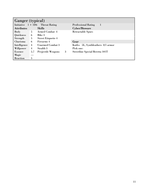| Ganger (typical)  |             |                                    |   |                                        |  |  |
|-------------------|-------------|------------------------------------|---|----------------------------------------|--|--|
|                   |             | Initiative $1 + 1D6$ Threat Rating |   | <b>Professional Rating</b><br>-1       |  |  |
| <b>Attributes</b> |             | <b>Skills</b>                      |   | Cyber/Bioware                          |  |  |
| Body              | $5^{\circ}$ | <b>Armed Combat 4</b>              |   | <b>Retractable Spurs</b>               |  |  |
| Quickness         | 6           | Bike 3                             |   |                                        |  |  |
| Strength          | 5           | <b>Street Etiquette 4</b>          |   |                                        |  |  |
| Charisma          | 6           | Firearms 4                         |   | Gear                                   |  |  |
| Intelligence      | 4           | <b>Unarmed Combat 3</b>            |   | Knifes 5L, Synthleathers 0/1 armor     |  |  |
| Willpower         | 4           | Stealth 3                          |   | Pick one:                              |  |  |
| <b>Essence</b>    | 5.7         | <b>Projectile Weapons</b>          | 3 | <b>Streetline Special Beretta 101T</b> |  |  |
| Magic             |             |                                    |   |                                        |  |  |
| Reaction          | 5           |                                    |   |                                        |  |  |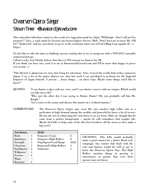## Dwarven Opera Singer

## Steven Tinner <Bluewizard@ncweb.com>

This somewhat ridiculous contact is the result of a suggestion made by Adam "WildAngle - Don't call me Fro anymore!" Jury, a reply made by favorite ego booster/player Steven "Bull - Don't hurt me no more Mr. GM Sir!" Ratkovich" and my own desire to prove to the world just what sort of Evil GMing I am capable of! :-) Enjoy!

I'd also like to take the time to challenge anyone reading this to try to stump me with a TOTALLY unusable contact/archetype.

Call me cocky, but I firmly believe that there is NO concept too bizarre for SR.

If you think you have one, send it to me at bluewizard@ncweb.com and I'll be more than happy to prove you wrong! :-)

"This lifestyle is glamorous it's true, but I long for adventure. Sure, I travel the world, Italy today, tomorrow Japan. I see a lot of the major players too. Just last week I was privileged to perform for the Imperial Emperor of Japan himself. A person ... hears things ... on these trips. Maybe some things you'd like to know?"

QUOTES "I can shatter a glass with my voice, and I can shatter careers with my tongue. Which would you like me to do?" "Why just the other day I was saying to Damie. Damie? Oh, you probably call him Mr. Knight." "Let's retire to the casino and discuss this matter in a civilized manner."

COMMENTARY The Dwarven Opera Singer may seem like just another high roller, but as a performer in high demand among the wealthy and powerful he hears a lot of secrets. He has the art of schmoozing the rich down to an art form. Odds are though that he came from a grittier background ... maybe he still remembers that tougher life. Maybe he'd like to help some of his old street brothers off the street as they make a big score?

| <b>Attributes</b> |                | <b>Skills</b>                  |       |
|-------------------|----------------|--------------------------------|-------|
| Body              | 4              | Etiquette (Corp)               | 6     |
| Quickness         | $\overline{2}$ | Etiquette (High Roller)        | 8     |
| Strength          | 5              | <b>Sing/Opera/Vocal Range</b>  | 4/6/8 |
| Charisma          | 3              | <b>Rumormill (High Roller)</b> | 5     |
| Intelligence      | 3              | Seduction                      | 5     |
| Willpower         | 4              |                                |       |
| <b>Essence</b>    | 6              |                                |       |
| Magic             |                |                                |       |
| Reaction          |                |                                |       |

GM NOTES: This fella would probably make a good contact for a James Bond style campaign. Any runner that deals with the rich and famous would do well to get to know the Dwarven Opera Star. The High Rollers mention things in passing to entertainers at parties that even their spouses may not know.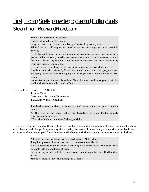## First Edition Spells converted to Second Edition Spells

## Steven Tinner <Bluewizard@ncweb.com>

Mako leaned around the corner. Bullets whipped past his head. Frag the Street Devils and their fraggin' invisible guns anyway. What kind of self-respecting mage turns an entire gangs guns invisible anyway?! Drek! No spell locks either ... so much for grounding a sleep spell into these losers. What he really needed was some way to make these morons back off for good. Some way to show them he meant business, and scare them away from any future reprisals too. He concentrated, seeking the strongest aura among the crowd of gangers. Reaching out with his will, Mako channeled mana into the gangers aura, changing the color from the raging red of anger into a cooler, more natural green. Concentrating on the sun above him, Mako fed more and more power into his spell and within seconds it took effect. Turn to Tree Drain =  $[(F/2)+2]S$ Type = Mana Duration = Sustained/Permanent Threshold = Body Attribute The lead ganger suddenly stiffened, as leafy green shoots erupted from his hands.

> As the rest of the gang looked on, horrified, as their leader rapidly transformed into a tree.

"That should slow them down" thought Mako.

Turn to tree literally changes the target into a tree. The threshold is the number of success you must sustain to achieve a total change. Stopping anywhere during the test will immediately change the target back. Any cyberware of equipment paid for with essence will change with the character, but not weapons or clothing.

> A few of the gangers hadn't yet decided to leave Mako alone. They had pursued him across town to the warehouse district. He was holed up in an abandoned building now, while four of the punks took potshots into the darkness at him. Perhaps they needed a little firmer lesson. Something a little less flexible than a tree. Maybe he should carve the message in ... stone.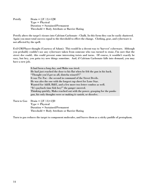| Petrify | Drain = $[(F/2) + 3]M$                       |
|---------|----------------------------------------------|
|         | $Type = Physical$                            |
|         | Duration $=$ Sustained/Permanent             |
|         | Threshold = Body Attribute or Barrier Rating |

Petrify alters the target's tissues into Calcium Carbonate - Chalk. In this form they can be easily shattered. Again you must total success equal to the threshold to effect the change. Clothing, gear, and cyberware is not affected by the spell.

Evil GM/Player thought (Courtesy of Adam): This would be a decent way to 'harvest' cyberware. Although you probably couldn't use any cyberware taken from someone who was turned to stone, I'm sure that the street doc could.. this could present some interesting twists and turns. Of course, it wouldn't exactly be easy, but hey, you gotta try new things sometime. And, if Calcium Carbonate falls into demand, you may have a new job.

> It had been a long day, and Mako was tired. He had just reached the door to his flat when he felt the gun in his back. "Thought you'd got us all, dintcha wizard?!" It was Tic-Tac - the second in command of the Street Devils. He was also the one with the longest rap sheet for Lone Star. Wanted for A&B, B&E, and a few more two letter combos as well. "It's payback time fish boy!" the ganger sneered. Thinking quickly, Mako reached out with the power, grasping for the punks gun, his only thoughts were or making it vanish, or dissolve.

Turn to Goo Drain =  $[(F/2)+2]D$ Type = Physical Duration = Sustained/Permanent Threshold = Body Attribute or Barrier Rating

Turn to goo reduces the target to component molecules, and leaves them as a sticky puddle of protoplasm.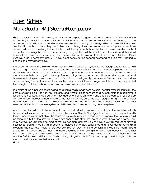## **Super Soldiers** Mark Steedman <M.J.Steedman@eee.rgu.ac.uk>

»Super soldier, a nice catch phrase, well it is until a corporation goes and builds something truly worthy of the name. They have yet to achieve a full artificial intelligence but this file describes the closest I have yet come across and it's not all that far short. Generally comparable to a sentry gun on legs with a lot more skill, these guys are the ultimate shock troops, they aren't alive as such though they do contain bioware components they have severe limitations in anything but a simple kill all the opponents type situation. However, modern tactical computer technology is more than good enough to give them all the usual trick of the trade and they don't have self preservation to worry about over preservation of the group. So far I believe only 'Midlands Cyber Systems', a British company, and MCT have direct access to the troopers described here but that is bound to change and may already have.

The basic framework is a skeletal 'terminator' framework based on cyberlimb technology and reinforced with bone lacing techniques. This is powered using muscle bundles based on either muscle replacement and/or augmentation technologies. I know these are incompatible in normal conditions but in this case the limits of meta-human flesh do not get in the way. The remaining basic systems are built on standard cyber limb and bioware technologies for enhanced joints, a dermal skin covering and power sources. This combination provides a basic walking 'person' that could be controlled remotely as if it were a rigged vehicle or through any related technologies. In this case however an autonomous combat system is installed.

The brains of the super soldier are based on a neural mass made from cerebral booster material. This forms the core processing block, it's not very intelligent and without direct connect to a human brain to programme it functionality is seriously limited but when they add an encephalon system and a tactical computer you end up with a one track tactical combat machine. The trick is how they put some basic programming into the cerebral booster wetware without a brain. Sensory inputs are then built up with standard cyber components with the usual effect on that tactical computer system and skills are interconnected through skillwire systems.

What you end up with could be led about in a social situation by anyone that could manipulate its limited skills base and set responses, but in combat it can be most unfriendly. The biggest problems as far as dealing with these things is they are not alive. This makes them totally immune to mana based magic, the wetware should be targetable but by the time you have blown enough bits off to get line of sight you have won anyway. They may however be vulnerable to most of the old con tricks and are likely to have a very limited set of previous experience programmed in, this is bound to improve but for now experience and novel tactics the things its programming has never heard of are your best solution. Don't try stand up fighting, these things don't have a soul to limit the cyber you can stuff in or have a realistic limit on strength to tow armour about with. One final thing, some military grade version are best described as 'highly resilient to para-natural attack' in much the same way the CAS Stonewall MBT is so don't rely on magic to get you out of this one, though a well though out illusion spell may well be your best bet for survival.  $\bullet$  Anon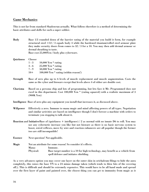#### Game Mechanics

This is not far from standard Shadowrun actually. What follows therefore is a method of determining the basic attributes and skills for such a super soldier.

Body Base 1/3 rounded down of the barrier rating of the material you build it form, for example structural steel  $=12/3$  equals body 4 while the hardened titanium/rolled steel armour plate they make security doors from comes to 32 / 3 for a 10. You may then add dermal armour or dermal sheathing to taste.

Base cost 25,000Yen / body plus cyberware.

| Quickness      | Choose                                                                                                                                                                                                                                       |                                                                                                                                                                                                                                                                                                                                           |
|----------------|----------------------------------------------------------------------------------------------------------------------------------------------------------------------------------------------------------------------------------------------|-------------------------------------------------------------------------------------------------------------------------------------------------------------------------------------------------------------------------------------------------------------------------------------------------------------------------------------------|
|                | $1 - 3$                                                                                                                                                                                                                                      | $10,000$ Yen $*$ rating                                                                                                                                                                                                                                                                                                                   |
|                | $4 - 6$                                                                                                                                                                                                                                      | $25,000$ Yen $*$ rating                                                                                                                                                                                                                                                                                                                   |
|                | $7 - 9$                                                                                                                                                                                                                                      | 50,000 Yen * rating                                                                                                                                                                                                                                                                                                                       |
|                | $10+$                                                                                                                                                                                                                                        | 100,000 Yen * rating (within reason!)                                                                                                                                                                                                                                                                                                     |
| Strength       |                                                                                                                                                                                                                                              | Base of zero plus up to 6 levels of muscle replacement and muscle augmentation. Costs the<br>same as the cyber and bioware except that levels above 4 of either are double cost.                                                                                                                                                          |
| Charisma       | $(900K$ Yen)                                                                                                                                                                                                                                 | Based on a persona chip and lots of programming, but lets face it Mr. Programmed does not<br>excel in this department. Cost 100,000 Yen * (rating squared) with a realistic maximum of 3                                                                                                                                                  |
|                |                                                                                                                                                                                                                                              | Intelligence Base of zero plus any equipment you install that increases it, as discussed above.                                                                                                                                                                                                                                           |
| Willpower      | Effectively a zero. Immune to mana magic and mind affecting powers of all types. Negotiation<br>and similar activities are based on intelligence though I don't foresee a machine with orders to<br>terminate you stopping to talk about it. |                                                                                                                                                                                                                                                                                                                                           |
|                |                                                                                                                                                                                                                                              | Reaction and Initiative Base of (quickness + intelligence) / 2 as normal with no innate D6 to roll. You may<br>use any cybernetic increase you like but not bioware as there is no basic nervous system to<br>boost, wired reflexes, move by wire and reaction enhancers are all popular though the former<br>two are still incompatible! |
| <b>Essence</b> |                                                                                                                                                                                                                                              | Next question! Not applicable.                                                                                                                                                                                                                                                                                                            |
| Magic          |                                                                                                                                                                                                                                              | Not an attribute for some reason! So consider it's effects.                                                                                                                                                                                                                                                                               |
|                | Mana:                                                                                                                                                                                                                                        | Immune.                                                                                                                                                                                                                                                                                                                                   |
|                | Physical:                                                                                                                                                                                                                                    | Base target number is a 10 for high technology, may benefit as a vehicle from                                                                                                                                                                                                                                                             |

As a very advances option you may cover one layer on the outer skin in orichalcum filings to hide the aura completely, this raises the base TN to a 24 minus damage taken (which tends to blow bits of the covering off.). This is difficult and should be extremely expensive. This would have to be all hand made and spread over the first layer of paint and painted over, the closest thing you can get to immunity from magic as it

spell defence and initiates shielding.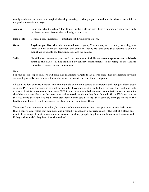totally encloses the aura in a magical shield protecting it, though you should not be allowed to shield a magically non existent target!

| Armour        | Come on, why be subtle? The things military all the way, heavy milspec or the cyber limb<br>hardened armour from cybertechnolgy are advised.                                                                                                     |
|---------------|--------------------------------------------------------------------------------------------------------------------------------------------------------------------------------------------------------------------------------------------------|
| Dice pools    | Combat pool, (quickness $+$ intelligence)/2, will power is zero.                                                                                                                                                                                 |
| Guns          | Anything you like, shoulder mounted sentry guns, Vindicators, etc. basically anything you<br>think will fit down the corridor and could in theory fit. Weapons that require a vehicle<br>mount are probably too large in most cases for balance. |
| <b>Skills</b> | Fit skillwire systems as you see fit. A maximum of skillwire systems (plus version advised)<br>equal to the basic (i.e. not modified by sensory enhancements to it) rating of the tactical<br>computer system is advised minimum 1.              |

#### Notes

For the record super soldiers will look like inanimate targets to an astral scan. The orichalcum covered version I generally describe as a black shape, as if it wasn't there on the astral plane.

I have used low powered versions like the example below on a couple of occasions and they got blown away with the PC's none the wiser as to what happened. I have once used a really hard version, they took one look at a suit of military armour with an Ares MP3 in one hand and a ballista multi role missile launcher over its shoulder than was black on the astral and volunteered the drone they had (loaned off the FBI) to stand in the way while they ran like mad. First steel lynx I ever saw blow up, they sensibly changed floors in the building and listed to the thing clattering about on the floor below them.

The overall cost comes out quite low, but then you have to consider that what you have here is little more than a sentry gun system that can move and pretend it is actually a security guard. The cost of it alone puts it out of the range of most runners, and of course, few if any people they know would manufacture one, and if they did, wouldn't they keep it to themselves?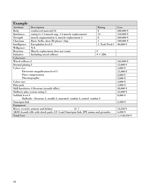| Example                                                                           |                                                 |                      |                       |
|-----------------------------------------------------------------------------------|-------------------------------------------------|----------------------|-----------------------|
| <b>Attribute</b>                                                                  | Description                                     | Rating               | Cost                  |
| Body                                                                              | reinforced material 24                          | 8                    | 200,000 ¥             |
| <b>Quickness</b>                                                                  | rating 6 (+4 muscle aug, +4 muscle replacement) | 14                   | 150,000 ¥             |
| Strength                                                                          | muscle augmentation 4, muscle replacement 4     | 8                    | 260,000 ¥             |
| Charisma                                                                          | Basic 'hello, show ID please' chip              | $\mathbf{1}$         | $100,000 \frac{y}{2}$ |
| Intelligence                                                                      | Encephalon level 2                              | 1, Task Pool:1       | $40,000 \frac{1}{3}$  |
| Willpower                                                                         | N/A                                             |                      |                       |
| Reaction                                                                          | Muscle replacement does not count               | $\mathbf Q$          |                       |
| <b>Initiative</b>                                                                 | Including wired reflexes                        | $9 + 2D6$            |                       |
| Cyberware                                                                         |                                                 |                      |                       |
| Wired reflexes 2                                                                  |                                                 |                      | 165,000 ¥             |
| Dermal plating 2                                                                  |                                                 | 15,000 ¥             |                       |
| Cyber eyes                                                                        |                                                 | 5,000 ¥              |                       |
| Electronic magnification level 3                                                  |                                                 |                      | 11,000 ¥              |
|                                                                                   | Flare compensation                              |                      | $2,000 \frac{1}{3}$   |
| Thermographic                                                                     |                                                 |                      | $3,000 \frac{y}{2}$   |
| Cyber ears                                                                        |                                                 | $4,000 \frac{1}{3}$  |                       |
| Data jack                                                                         |                                                 | $1,000 \t{Y}$        |                       |
| Skill hardwires 4 firearms (assault rifles)                                       |                                                 | $20,000 \frac{1}{3}$ |                       |
| Skillwire plus system rating 3                                                    |                                                 |                      | 45,000 ¥              |
| Softlink level 4                                                                  |                                                 |                      | $8,000 \frac{1}{3}$   |
| Skillsofts : firearms 3, stealth 3, unarmed combat 3, armed combat 3              |                                                 |                      |                       |
| Smartgun link                                                                     |                                                 | $2,500 \,\text{Y}$   |                       |
| Equipment                                                                         |                                                 |                      |                       |
| Heavy security armour and helmet<br>8/7                                           |                                                 |                      | 12,250 ¥              |
| AK98 Assault rifle with shock pads, GV 4 and Smartgun link, IPE ammo and grenades |                                                 |                      | $6,200 \frac{1}{3}$   |
| <b>Total Cost</b>                                                                 |                                                 |                      | 1,1148,950 ¥          |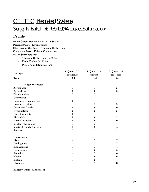## CELTEC Integrated Systems

## Sergej R. Bailleul <S.R.Bailleul@Acoustics.Salford.ac.uk>

## Profile

Home Office: Denver FRFZ, CAS Sector President/CEO: Kevin Forbes Chairman of the Board: Adrienne De la Croix Corporate Status: Private Corporation Major Shareholders:

- Adrienne De la Croix (ca.23%)
- Kevin Forbes (ca.21%)
- Draco Foundation (ca.17%)

|                                 | 4. Quart. '57    | 1. Quart. '58            | 2. Quart. '58            |
|---------------------------------|------------------|--------------------------|--------------------------|
| <b>Ratings:</b>                 | (previous)       | (current)                | (projected)              |
| <b>Total:</b>                   | 33               | 40                       | 55                       |
| <b>Major Interests:</b>         |                  |                          |                          |
| Aerospace:                      | 1                | 1                        | $\sqrt{2}$               |
| Agriculture:                    | $\boldsymbol{0}$ | $\boldsymbol{0}$         | $\boldsymbol{0}$         |
| Biotechnology:                  | 1                | 1                        | $\overline{2}$           |
| Chemicals:                      | 1                |                          | $\sqrt{2}$               |
| <b>Computer Engineering:</b>    | $\mathbf{0}$     | 1                        | 1                        |
| <b>Computer Science:</b>        | 1                | $\overline{2}$           | 3                        |
| <b>Consumer Goods:</b>          | $\boldsymbol{0}$ | $\boldsymbol{0}$         | $\boldsymbol{0}$         |
| Cybernetics:                    | $\overline{2}$   | 2                        | $\overline{2}$           |
| Entertainment:                  | $\mathbf{0}$     | 1                        | 1                        |
| Financial:                      | $\mathbf{0}$     | $\bf{0}$                 | $\overline{2}$           |
| <b>Heavy Industry:</b>          | $\boldsymbol{0}$ | $\bf{0}$                 | $\boldsymbol{0}$         |
| <b>Military Technology:</b>     | 3                | 3                        | $\overline{4}$           |
| <b>Mystical Goods/Services:</b> | $\overline{2}$   | 3                        | 4                        |
| Service:                        | 3                | $\overline{2}$           | 3                        |
| Operations:                     |                  |                          |                          |
| Fiscal:                         | 4                | 5                        | $\overline{\mathcal{U}}$ |
| Intelligence:                   | $\overline{4}$   | 5                        | 7                        |
| Management:                     | 3                | 3                        | 4                        |
| <b>Reputation:</b>              | 4                | 5                        | 6                        |
| Security:                       | $\overline{4}$   | $\mathbf{5}$             | 6                        |
| Magic:                          | $\overline{4}$   | 6                        | 6                        |
| Matrix:                         | 1                | $\overline{2}$           | 4                        |
| Physical:                       | 7                | $\overline{\mathcal{U}}$ | 8                        |
| Military: Platoon, Excellent    |                  |                          |                          |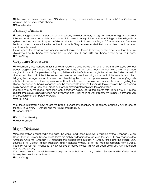»Take note that Kevin Forbes owns 21% directly. Through various shells he owns a total of 53% of Celtec, so whatever the file says, he's in charge.

**O**GenderBender

## Primary Business:

»Celtec Integrated Systems started out as a security provider but has, through a number of highly successful takeovers and personnel aquisitions expanded into a small but reputable provider of integrated security/military systems, ie. they provide all aspects of site security, from astral intrusion proofing to CCSS surveillance. They also field a small military force for extreme threat contracts. They have expanded their product line to include basic matrix security as well.

They're good. Too small to have any real market share, but they're improving all the time. Now that they are diversifying I doubt they're ever gonna be up there with KE and LSSS, but they're alright as far as it goes. *OMarketThing* 

## Corporate Structure:

»The company was founded in 2054 by Kevin Forbes. It started out as a rather small outfit and enjoyed slow but steady progress until the second fiscal quarter of 2056, when Celtec took over Equinox, a French/German magical think tank. The president of Equinox, Adrienne De La Croix, who bought herself into the Celtec board of directors with her part of the takeover money, was to become the driving force behind the joined corporation, bringing the management up to speed and diversifying the parent company's interests. The company's growth rate has increased considerably ever since. Now that Forbes has secured a major cash influx by getting the Draco Foundation on board, expansion can be expected to increase further still. There seems to be an ongoing rivalry between De la Croix and Forbes due to their clashing intentions with the corporation.

The cash influx by the Draco Foundation really gets them going. Look at that growth rate, from  $+7$  to  $+15$  in one quarter. Impressive. Especially since now everything else is kicking in as well. It seems Mr. Forbes is not that much of a businessman compared to "Della".

**@MarketThing** 

»For those interested in how he got the Draco Foundation's attention, he apparently personally fulfilled one of the tasks in Dunki's will. I wonder who this Kevin Forbes really is? **<sup>O</sup>Dragoncatcher** 

»Don't. It's not healthy. »Vox Anonymica

## Major Divisions

»The corporation is structured in two parts. The World Head Office in Denver is mirrored by the European Division Head Office in Colmar, France. These terms are slightly misleading though since the world HO only manages the Americas while the European HO manages the corporation's interests in Europe, Africa and the Middle East. Equinox is still Celtec's largest subsidiary and it handles virtually all of the magical research from Europe. Recently, Celtec has introduced a new subdivision called SynTax Ltd. which deals exclusively with integrated warfare and security.

It's amazing how fast this relatively small corp has taken hold in so many markets. Someone within Celtec must have quite a few important friends.

**@MarketThing**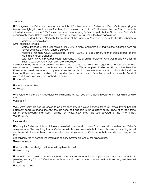## Execs

»Management at Celtec did not run as smoothly at first because both Forbes and De la Croix were trying to keep a very tight grip on all matters. That lead to a certain amount of conflict between the two. This has recently subsided somewhat since CEO Forbes has taken to managing SynTax, his pet division. Since then, De la Croix undisputedly heads Celtec itself. The executive VP in charge of Equinox is the highly acclaimed

• Dr. Utr. Mag. Konrad Albrechts, former Dean of the Faculty for Magical Studies at the Schiller University in Weimar, German Alliance.

Other executive VPs are:

- Werner Reichelt (Celtec Biochemical; Trier, GA), a highly charismatic Elf that Celtec extracted from his former employers, the AG Chemie Europa.
- Mellonee Johnson (UNYX Computers; Toronto, UCAS), a black dwarf, former stock broker at the Manhattan Virtual Exchange.
- Lord Barry Rhyl (CYRIX Cybernetics; Richmond, CAS), a british nobleman who was made VP after his Britain-based company was taken over by Celtec.

I've met Rhyl. He's one tough bastard. We were hired to "persuade" him to vote against some new product line. We'd done our homework, so we knew he's a family man. We kidnapped his wife and kid and threatened to kill'em. When I met him he was completely controlled and calm. He demanded we return his family, I told him the conditions. He scared the drek outta me when he just stood up, said "Your terms are inacceptable. Do what you must, I won't stop you." and walked out on me.

»Jackson V

»What happened then?

**O**Glowball

»He voted for the motion. A day later we returned his family. I couldn't've gone through with it. Not with a guy like that.

»Jackson V

»You were lucky. He had all reason to be confident. Rhyl is a close personal friend of Forbes. SynTax has got extremely good "extended security", though none of it appears in the quarterly posts. I know of at least three former Shadowteams that work fulltime for SynTax now. They had you covered all the time, I bet. **OCAStiGATOR** 

## **Security**

»Security for Celtec and its subsidiaries is provided by an odd mixture of local security providers and Celtec's own personnel. The only thing that all Celtec security has in common is that all security systems (including guard numbers and placements) no matter whether they are provided by Celtec or outside security, are designed by Celtec.

Unsurprisingly really, considering integrated security systems are one of their specialities.

»Vox Anonymica

**O**I've heard Forbes designs all the security systems himself.

*OMisses Soppy* 

» I wouldn't be surprised if he was involved in the process since SynTax is his pet project, but currently SynTax is providing security for ca. 1200 sites in the Americas, Europe and Africa. How could he have designed them all himself?

»Doubting Tomas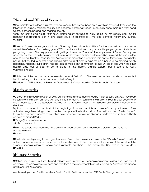## Physical and Magical Security

»The mainstay of Celtec's business, physical security has always been on a very high standard. Ever since the takeover of Equinox, magical security has become increasingly good, espescially since there is a very good synergy between physical and magical security.

Yeah, but only during hours. After hours there's hardly anything to worry about. It's not exactly easy but it's definitely not difficult to get in, and once you're in all there is is the odd camera, hardly any guards. **OSleipnir** 

»They don't need many guards at the offices, Sly. Their offices hold little of value, and with an information network like Celtec's, if something goes AWOL, they'll track it within a day or two. I hope you got rid of whatever you got right quick. The only places worth getting into are the "Barracks". The employees of Celtec Security are generally housed in small enclaves of their own. Within these premises are the sensitive info and the toys. Celtec pays so called "Nightraid Boni", ie. if you're involved in preventing a nighttime raid on the Barracks you get a hefty bonus. That has led to guards doing *unpaid* extra hours at night in case there's a bonus to be claimed, which apparently happens quite often. And as soon as there's any commotion, all hell will break lose when the other guards jump out of bed to get a piece of the action. Strange system, but it seems to work. **OSample and Sell** 

»This is one of the friction points between Forbes and De la Croix. She sees the boni as a waste of money, but he claims it's good for morale, and sure as hell he's right.

»Frederick D. Wilkins, Head of Personnel Department & Celtec Security, "Collins Barracks", Swansea

#### Matrix security

»Celtec's matrix security is weak at best, but their system setup doesn't require much security anyway. They keep no sensitive information on hosts with any link to the matrix. All sensitive information is kept in local-access-only hosts. These systems are generally located at the Barracks. Most of the systems use slightly modified UMS structures.

Equinox has opened its own host at the beginning of this year and it's a marvel of a sculpted system. They actually charge fees to log on because the main part of the host is a Virtual Theme Park called "The Far Shores". I'd say the non-public access matrix-linked hosts benchmark at around Orange-4, while the secure isolated hosts come in at around Red-5.

»Mirage@paris.la.defense.net & L'Ecu, c'est mon!

**»**Even the secure hosts would be no problem for a real decker, but it's definitely a problem getting to the access terminals.

**»**TriNiTron

»The Far Shores is proving to be a great success. One of the main attractions are the "Wizards' Towers". It's a kind of team game where two or more teams try to eliminate all the other teams by means of the most realistic simsense reconstructions of magic spells available anywhere in the matrix. The kids love it, and so do I. **OBaldrick** 

## Military Security

**O**Celtec has a small but well trained military force, mainly for weapons/equipment testing and high threat contracts. The corporation also owns and field-tests a few experimental aircraft supplied by Aerospaciale France and Moonlight Aerospace.

Well trained, you bet. The Unit leader is Ex-Maj. Sophia Parkinson from the UCAS Seals. She's got more medals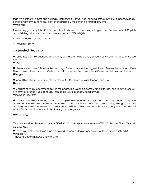than I've got teeth. They've also got Didier Breuillet, the Eurowar-Ace, as head of the Airwing. A euphemism really, considering that they have only got 4 Pilots and rarely more than 6 aircraft at any time. *OMerc Yuri* 

They've only got four pilots officially. I was hired to have a look at their prototypes, and I've seen about 20 pilots at the briefing. Mind you, I also saw representa# $p^*$  %%.);# $\frac{1}{2}$ 

\*\*\*\*\*Connection Terminated\*\*\*\*\*

\*\*\*\*\*Carrier lost\*\*\*\*\*

## Extended Security

»Celtec has got little extended assets. They do have an extraordinary amount of watchers for a corp this size though.

**»**Nyuk

**»**Little extended assets? Don't make me laugh, Celtec is one of the biggest fixers in Denver. More than half my friends have done jobs for Celtec, and I'm sure matters are little different in the rest of the world. **»**Ranger

**»**I would like to know the source of your claims, Mr. Gladstone of 25 Littlewood Drive. Now. **»**Vyper

»I wouldn't normally recommend spilling the beans, but Vyper is extremely difficult to lose, and from the tone of it I'd say you're dead if you don't talk. Then again, you're probably dead anyway. **O**The Neon Blowtorch

»No matter whether they do or do not employ extended assets, they have got very good intelligence operations. The watchers mentioned earlier are just part of it. Remember how Celtec got big through a number of "highly successful takeovers and personnel aquisitions"? They knew exactly when to buy what and extract whom. That's no coincidence, that's bloody good intelligence.

**<sup>O</sup>MarketThing** 

This download was brought to you by Warlock IC, your eye in the archives of KSNC, Seattles News Channel Number One!

» I hope you took heed, these guys are up and comers, so there's jobs galore for those with the right skills! »Warlock IC

News-At-Once with News-Channel-One!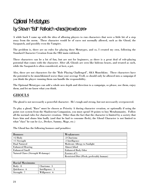## **Optional Metatypes** by Steven "Bull" Ratkovich <chaos@ncweb.com>

A while back I came up with the idea of allowing players to run characters that were a little bit of a step away from the norm. These character would be of races not normally allowed, such as the Ghoul, the Sasquatch, and possibly even the Vampire.

The problem is, there are no rules for playing these Metatypes, and so, I created my own, following the Standard Character Creation from the SR2 main rulebook.

These characters can be a lot of fun, but are not for beginners, as there is a great deal of role-playing potential that comes with the character. After all, Ghouls are seen like hideous beasts, and treated as such, while the Sasquatch is often considered, at best, a pet.

Also, these are not characters for the "Role Playing Challenged", AKA Munchkins. These characters have the potential to be munchkinned worse than your average Troll, so should only be allowed into a campaign if you think the player running them can handle the responsibility.

The Optional Metatypes can add a whole new depth and direction to a campaign, so please, use them, enjoy them, and let me know what you think.

## GHOULS

The ghoul is not necessarily a powerful character. He's tough and strong, but not necessarily overpowered.

To play a ghoul, "Race" must be chosen as Priority A during character creation, or optionally if using the point cost system from the Shadowrun Companion, you must spend 10 points to buy Metahumanity. Follow all the normal rules for character creation. Other than the fact that the character is limited by a society that fears him and shuns him badly (and that he had to consume flesh), the Ghoul Character is not limited to what "class" he can be (i.e., Decker, Sammy, Mage, etc.)

The Ghoul has the following bonuses and penalties:

| <b>Bonuses</b>                    | Weaknesses                                |
|-----------------------------------|-------------------------------------------|
| $+2$ Body                         | -3 Charisma                               |
| $+1$ Strength                     | -1 Intelligence                           |
| <b>Dual Natured</b>               | <b>Moderate Allergy to Sunlight</b>       |
| <b>Enhanced Hearing</b>           | Almost blind                              |
| <b>Enhanced Smell</b>             | <b>Enhanced Body Odor</b>                 |
| Natural Claws (Strength M damage) | <b>Essence of 5</b>                       |
|                                   | Restricted Diet (Flesh, preferably human) |

| <b>Racial Maximums</b> |                 |
|------------------------|-----------------|
| Body: 8                | Charisma: 3     |
| Quickness: 6           | Intelligence: 5 |
| Strength: 7            | Willpower: 6    |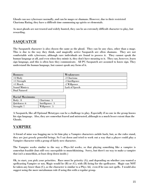Ghouls can use cyberware normally, and can be mages or shamans. However, due to their restricted Charisma Rating, they have a difficult time summoning up spirits or elementals.

As most ghouls are not trusted and widely hunted, they can be an extremely difficult character to play, but rewarding.

## SASQUATCH

The Sasquatch character is also chosen the same as the ghoul. They can be any class, other than a mage. This is due to the way they think, and magically active Sasquatch are often shamans. They are not comfortable with cyberware, although rare individuals are found to possess it. They cannot speak the human language at all, and even when they mimic it, they don't have meaning to it. They can, however, learn sign language, and this is often how they communicate. All PC Sasquatch are assumed to know sign. They understand the human language, but cannot speak any form of it.

| <b>Bonuses</b>       | Weaknesses      |
|----------------------|-----------------|
| $+2$ Body            | -1 Charisma     |
| $+1$ Strength        | -1 Intelligence |
| $+1$ Reach           | -1 Willpower    |
| <b>Sound Mimicry</b> | Lack of Speech  |
| <b>Dual Natured</b>  |                 |

| <b>Racial Maximums</b> |                 |
|------------------------|-----------------|
| Body: 8                | Charisma: 5     |
| Quickness: 6           | Intelligence: 5 |
| Strength: 7            | Willpower: 5    |

A Sasquatch, like all Optional Metatypes can be a challenge to play. Especially if no one in the group knows his sign language. Also, they are somewhat feared and mistrusted, although to a much lesser extent than the Ghouls.

## VAMPIRE

A friend of mine was bugging me to let him play a Vampire characters awhile back, but, as the rules stand, they are just grossly powerful beings. So I sat down and tried to work out a way that a player could play a Vampire character with a group of fairly new character.

The Vampire works similar to the way a Phys-Ad works, so that playing something like a vampire is somewhat feasible (but still very susceptible to munchkinizing. Sorry, but there's no way to make a vampire that isn't a munchkin, at least deep down inside.)

Ok, to start, you pick your priorities. Race must be priority (A), and depending on whether you wanted a spellcasting Vampire or not, Magic would be (B) or (C), with (B) being for the spellcaster. Magic can NOT be taken any lower than (C), as the character is similar to a Phys Ad, even if he can cast spells. I would also suggest using the more metahuman rule if using this with a regular group.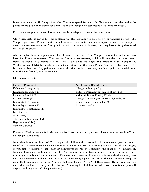If you are using the SR Companion rules, You must spend 10 points for Metahuman, and then either 20 points for Magician or 15 points for a Phys Ad (Even though he is technically not a Physical Adept).

I'll base my vamp on a human, but he could easily be adapted to one of the other races.

Other than that, the rest of the char is standard. The last thing you do is pick your vampiric powers. The Vampire get three "Power Points", which is what he uses to buy his vampiric powers. All vampiric characters are new vampires, freshly infected with the Vampiric Disease, thus they haven't fully developed most of there powers.

Also, Vampires have a large amount of weaknesses. These vary from Vampire to vampire, and some even have few, if any, weaknesses. You can buy Vampiric Weaknesses, which will then give you more Power Points to spend on Vampiric Powers. This is similar to the Edges and Flaws from the Companion. Weaknesses can ONLY be bought at character creation, and the bonus Power Points given by them MUST be spent at that time. Any points not spent at this time are lost. You may not "save" points or partial point until the next "grade", or Vampire Level.

| Powers (Point cost)           | <b>Weaknesses (Point Bonus)</b>             |
|-------------------------------|---------------------------------------------|
| Enhanced Strength (1)         | Allergy to Sunlight (*)                     |
| <b>Enhanced Hearing (.25)</b> | Induced Dormancy from lack of air (.25)     |
| <b>Enhanced Smell (.25)</b>   | Vulnerability to Wood (.25/lvl)             |
| Essence Drain $(*)$           | Allergy (psychological) to Holy Symbols(.5) |
| Immunity to Aging(.25)        | Unable to use cyber or $bio(*)$             |
| Immunity to poison(.25)       | Essence $Loss(*)$                           |
| Immunity. to pathogens(.25)   |                                             |
| Infection(1)                  |                                             |
| Mist Form $(2)$               |                                             |
| Thermographic Vision(.25)     |                                             |
| Regeneration(1/ V )           |                                             |
| Natural Claws(.5)             |                                             |

Ok, the powers List...

Powers or Weaknesses marked with an asterisk '\*' are automatically gained. They cannot be bought off, nor do they give any bonus.

Now, what do some of these do? Well, in general, I followed the book and took there normal powers. Some I modified. The most noticeable change is in the regeneration. Having  $a 2+$  Regeneration on a d6 gets vulgar, so you make it difficult to get. Each level improves the roll by 1 number. the chart below calculates it. Notice at level one, you do not have a roll. This is simply a basic Regeneration. If you are hit for a Deadly wound, you are dying. You do not get to Regeneration. However, If you are at below a deadly wound, then you auto Regeneration like normal. The cost is deliberately high so that all but the most powerful vampires instantly Regenerate everything. Also, not that stun damage DOES NOT Regenerate. However, as this was much discussed just recently on the ShadowRN Mailing list, feel free to make this rule optional (you will anyway, so I might as well give permission.)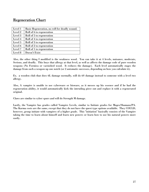## Regeneration Chart

| Level 1 | Basic Regeneration, no roll for deadly wound. |
|---------|-----------------------------------------------|
| Level 2 | Roll of 6 to regeneration                     |
| Level 3 | Roll of 5 to regeneration                     |
| Level 4 | Roll of 4 to regeneration                     |
| Level 5 | Roll of 3 to regeneration                     |
| Level 6 | Roll of 2 to regeneration                     |
| Level 7 | Roll of 1 to regeneration                     |
| Level 8 | Doesn't Exist                                 |

Also, the other thing I modified is the weakness wood. You can take it at 4 levels, nuisance, moderate, Serious, and deadly. This buys that allergy at that level, as well as affects the damage code of pure wooden weapons (No Formica or varnished wood. It reduces the damage). Each level automatically stages the damage from such a weapon up one notch (or 2 automatic successes, depending on how you calculate it).

Ex. a wooden club that does 6L damage normally, will do 6S damage instead to someone with a level two allergy.

Also, A vampire is unable to use cyberware or bioware, as it messes up his essence and if he had the regeneration ability, it would automatically kick the intruding piece out and replace it with a regenerated original.

Claws are similar to cyber spurs and will do Strength M damage.

Lastly, the Vampire has grades called Vampire Levels, similar to Initiate grades for Mages/Shamans/PA. The Karma costs are the same, except that they do not have the quest type options available. They COULD, however, group initiate with vampires of a higher grade. This "initiation" basically consists of the Vampire taking the time to learn about himself and learn new powers or learn how to use his natural powers more easily.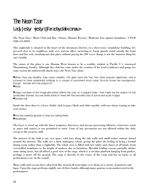## The Neon Tzar Lady Jestyr <jestyr@faraday.dialix.com.au>

The Neon Tzar / Music Club and Bar / Owner: Zhanna Weston / Moderate bias against mundanes / LTG# 3386 (55-4092)

This nightclub is situated in the heart of the downtown district, in a three-story standalone building. It's pressed close to its neighbors, with very narrow alleys encircling it. Large guards stand outside the front door and fire exit; sneaking into this place without paying the 30¥ cover charge is not the smartest thing for one's health.

The owner of the place is one Zhanna West, known to be a wealthy student at Pacific U.'s renowned Thaumaturgy faculty. Although this club has come under the scrutiny of the local syndicates and gangs, for some reason the underworld sharks leave the Neon Tzar alone.

»When they say wealthy, they mean wealthy. This girlie owns the Tzar, two other popular nightclubs, and is rumored to have substantial holdings in a couple of prominent local corps. No-one knows her background, though - wonder who her poppa is? **OStryfe** 

»Large numbers of the magically-active attend this club on a regular basis - that might be the reason for the syndicates' shyness. No-one really wants to mess with the favourite club of some *real* scary mages. »Gaddy-nalf

Inside the door there is a foyer slickly clad in jazzy black and white marble, with two chicas waiting to take your money.

**• And two beefoid guards, to stop you taking theirs. O**HeadKase

The foyer is wired up with the latest weaponry detectors, and anyone possessing offensive cyberware (such as spurs and razors) is not permitted to enter. Guns of any persuasion are not allowed within the club, except to the security staff.

The interior of the club is one vast space, with bars along the side walls and small waiter stations dotted around the interior. The walls are a dark mahogany colour, giving the place the feeling of being a formal dining room rather than a nightclub. The whole area is filled with low tables and chairs of all kinds, from overstuffed armchairs to the height of modern chic in furniture. Movable folding screens partially shelter some sitting areas, but all afford a good view of the stage, which is a circular platform hanging from girders, perhaps a meter off the ground. The stage is directly in the center of the room and has no back, so all performances are 'in the round'.

Many walls and screens have what look like turned-off neon lights over them, in a variety of patterns and logos. Upon the stage performs nightly one of three bands, although many patrons seem uninterested in the performance.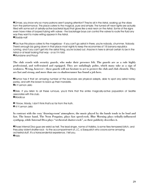»Omae, you know why so many patrons aren't paying attention? They're all in the Astral, soaking up the vibes from the performance. This place caters to the magical, pure and simple. The turned-off neon lights are actually filled with some sort of astrally-active bacterial liquid that glows like a real neon on the Astral. Some of the signs even have miles of looped tubing with valves - the backstage boys can control the valves to route the fluid any way they want to make writing appear in the Astral. »Gaddy-nalf

»Too true this place caters to the mageboys - if you can't go astral in there, you're nobody, chummer. Nobody. There's enough biz going down in that place most nights to keep the economies of 18 banana republics running, and if you can't get into the astral thing, you're locked out. Anyone in here is almost certain to be in the Astral or at least looking that way - or so I'm told. **•Mundane and Proud** 

The club crawls with security guards, who make their presence felt. The guards are as a rule highly professional, and well-trained and equipped. They are unfailingly polite, which many take as a sign of weakness. Wrong, however - these guards will not hesitate to act to protect the club and club clientele. They are fast and strong, and more than one ex-shadowrunner has found a job here.

»Rumor has it that an amazing number of the bouncers are physical adepts, able to spot any astral hankypanky, and with the brawn to back up their mandate.  $\odot$ **K-Y Lemon Jello** 

»Drek. If you listen to all these rumours, you'd think that the entire magically-active population of Seattle associates with this club.

**O**Mordicus

» Y'know, Mordy, I don't think that's so far from the truth.

» K-Y Lemon Jello

In contrast with the cozy 'drawing-room' atmosphere, the music played by the bands tends to be loud and fast. The house band, The Neon Penguins, plays fast speed-rock. Blue Morning plays tribally-influenced synthpop, while Internal Diva plays "orchestral shatter-rock", as their publicity describes it.

»Those Internal Diva guys are weird as hell. The lead singer, name of Halistra, is some fiery-tempered bitch, and they play violent shatter-rock - to the accompaniment of J.C, a Sasquatch who croons some amazing orchestral stuff. It's a transcendental experience, I tell you. »Halo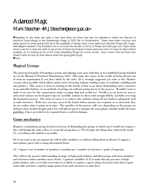## **Advanced Magic** Mark Steedman <M.J.Steedman@eee.rgu.ac.uk>

»Needless to say there are quite a few neat tricks out there that are not detailed in either the Manual of Practical Thaumaturgy or the Awakenings magic in 2057 file on Shadowland. There have been rumours and ideas about for years giving hints as to the possibility of doing many more useful but unknown things with magic. Well diligent research has enabled me to uncover the secrets of some of these and although you might never have a use for or even be able to use some of these techniques it never does any harm to have an idea what is possible; so I'm sharing some of the more interesting things I've come across. Sure I have more but then who doesn't want an ace up their sleeve when the going gets tough.  $\Theta$ Anon

## Magical Groups

The general principals of founding a group and aligning your aura with that of an established group detailed are in the Manual of Practical Thaumaturgy 2053. This tome also warns of the results of being thrown out of such an organization if you don't abide by the rules. (It is strongly suggested you refer to the 'Shadow' version when possible which allows much easier browsing without reading reams of academic rambling and sale pitches.) This source is however lacking in the details of how to go about dismantling such a structure in an amicable fashion, or on methods of getting out without getting burnt in the process. Wouldn't want to make it too easy for the corporations mages to jump ship now would we? Needless to say however, just as and astral contact can be forged it may be carefully undone by those with enough skill by carefully reversing the formation process. The trick of course is to achieve this without setting off any built-in safeguards such as oath strictures. With care you may unravel the bonds before anyone can respond, or so discretely they do not realize what is going on in time. The specifics of the process will vary depending on the group you belong to but careful thought and a few well placed queries amongst the meta-planes should enable the basic guidelines I have provided to be expanded into a useful technique.

## Game mechanics

Requires a unanimous group decision in favour of disbanding the group, in which case I would not require a dice roll though the same roll as to create the group but at a TN of 0 plus the things that reduced the usual 12- everything roll could be reasonable.

Or if you want to get out against the will of other members or without telling them in advance I suggest a meta-planar quest with a rating determined below.

12 + Square root of number of members, rounding up + number of strictures - grade of magician.

This reflects the greater understanding of magic of high grade initiates and that groups with more members and strictures bind a member more closely. I picked a modifier of 12 to make this the province of high grade initiates only, even with a zero there it is likely to require a quest rating of at least 6 but that is quite achievable and there could be magic points from oath strictures at stake here.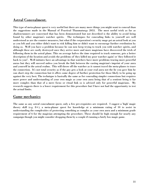## Astral Concealment.

This type of meta-planar quest is very useful but there are many more things you might want to conceal than the suggestions made in the Manual of Practical Thaumaturgy 2053. The most useful trick as far as shadowrunners are concerned that has been demonstrated but not described is the ability to avoid being found by other magician's watcher spirits. The techniques for concealing links to yourself are well understood as are the counter measures, but what if the corporation's security mage got an astral look at you as you left and you either didn't want to risk killing him or didn't want to encourage further retribution by doing so. Well you have a problem because he can now keep trying to track you with watcher spirits, and although these are easily destroyed once they arrive more and more magicians have discovered the trick of following them in the astral plane. This on average halves the time required to track someone, gets a better description of the location and avoids the problems of 'they killed my poor watcher again' or 'they followed it back to you!'. Well initiates have an advantage in that watchers have more problems tracing more powerful auras but they will succeed unless you break the link between the casting magician's imprint of your aura and yourself in the astral realms. This will throw off the watcher as it cannot travel the meta-planes to trace the connection. It's not total security as if the guy gets a look at your real aura not the lie you gave him he can short step the connection but it offers some degree of further protection for those likely to be going up against the very best. The technique is basically the same as for concealing simpler connections but requires more power and understanding of your own magic as your own aura being that of a sentient being is far more complex than that of a mere focus or ritual link so is advised only for powerful magicians. My research suggests there is a lower requirement for this procedure but I have not had the opportunity to test the actual limits.

#### Game mechanics

The same as any astral concealment quest, only a few pre-requisites are required. I suggest a 'high' magic theory skill (e.g. 8+), a meta-planar quest for knowledge at a minimum rating of 10 to assist in understanding the complexities of protecting something as complex as your own aura and a minimum grade requirement of 6 for the magician attempting the procedure. These should be high enough for nearly any campaign though you might consider dropping them by a couple if running a fairly low magic game.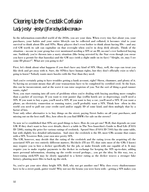## Clearing Up the Credstik Confusion Lady Jestyr <jestyr@faraday.dialix.com.au>

In the information-controlled world of the 2050s, you are your data. When every tiny fact about you, your purchases, your habits and your entire lifestyle can be collected and collated, it becomes vital to your survival to think about IDs and SINs. Many players don't even bother to think about having IDs – and any evil GM worth its salt can capitalize on that oversight when you're in deep drek already. Think of the situation – no-one in your group has ever mentioned needing a SIN or an ID, no-one's ever bothered buying one. Suddenly you're thrown into a nasty situation (like being arrested by the Star even though you swear you have a permit for that bazooka) and the GM says (with a slight smile on its face) "Alright, sir, may I see some ID please?". What are you going to do?

First, let's think about what happens if you don't have any kind of SIN. Okay, well, the cops can treat you like drek and get away with it. Sure, the SINless have human rights, but they don't officially exist so who's going to know? Nobody wants more hassles with the Star than they need.

And you're certainly going to have troubles getting a bank account, right? Sheen, chummer, and plenty of it. So having no account means that all your transactions have to be completed by certified cred. At the least, this can be inconvenient, and at the worst it can raise suspicion of you. Not the sort of thing a good runner wants, right?

Next, you start running into all sorts of problems when you're dealing with buying anything more complex than a packet of soycrisps. If you want to rent jazzier digs (coffin hotels are so depressing), you'll need a SIN. If you want to buy a gun, you'll need a SIN. If you want to buy a car, you'll need a SIN. If you want a phone, an electricity connection or running water, you'll probably want a SIN. Think how often in this world you need to pull out your credit card and/or supply ID of some kind, and then multiply that by a factor of lots.

Your only other alternative is to buy things on the street, paying Street Index on all your purchases, and missing out on the best stuff. Hey, how often do you find BMWs for sale on the streets?

So now we've established that SINs are good things to have. How do you get one? Well, that depends on your GM. If they don't want to fuss over details, there's a table in The Neo-Anarchist's Guide to Real Life (FASA ID 7208), stating the price for various ratings of credstick. Sprawl Sites (FASA ID 7103) has the same table, but with slightly less detailed information. And since the credstick is the ID, most GMs assume that comes with a SIN. Yessirree Bob, your own nice pretty SIN.

The GM, however, may decide that the rating of the credstick and the rating (even the acquiring of) the associated SIN are two entirely different matters. He/she/it (I'll use IT; that suits most of the GMs I know) may require you to hire a decker specifically for the job, or make friends with one capable of it. It may require you to make regular payments to the decker in exchange for keeping the SIN up-to-date, adding more personal information, cleaning up the credit record perhaps... you get the idea. In this way, too, a lower-rating stick/SIN may be slowly upgraded to a better rating as the decker weaves a stronger fake history, planting more files to back up the stick.

So, you've got your nice shiny bright SIN. Hell, why not get another one? Why does every shadowrunner have to be a street punk, gutter trash? Why not use the brains you were born with – getting a SIN makes you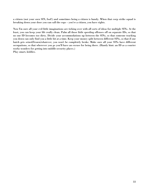a citizen (not your *own* SIN, fool!) and sometimes being a citizen is handy. When that corp strike squad is breaking down your door you can call the cops – you're a citizen, you have rights.

Now I'm sure all your evil little imaginations are ticking over with all sorts of ideas for multiple SINs. At the least, you can keep your life really clean. Palm all those little speeding offenses off on separate IDs, so that no one ID becomes too dirty. Divide your accommodations up between the SINs, so that someone tracking you down can only find you a little bit at a time. Keep your money split between different SINs, so that if one batch gets seized/frozen/whatever, you won't be completely broke. Make sure all your SINs have different occupations, so that wherever you go you'll have an excuse for being there. (Handy hint: an ID as a courier works wonders for getting into middle-security places.) Play smart, kiddies.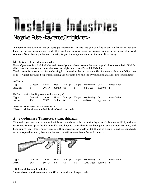# Hestalaja Industries

## Negative Pulse <Laymance@brightok.net>

Welcome to the summer line of Nostalgia Industries. In this line you will find many old favorites that are hard to find as originals, so we at NI bring them to you, either in original casings or with one of a kind remakes, We at Nostalgia Industries bring to you the weapons from the Vietnam Era. Enjoy.

#### M-16 (no real introduction needed)

Many of you have heard of the M-16, and a few of you may have been on the receiving end of its muzzle flash. Well for all of those who haven't, and those who have, Nostalgia Industries offers a full M-16 kit.

The kit contains a standard issue cleaning kit, housed in the butt of the rifle. it comes with a set of clips, two of the original 20roundd clips used during the Vietnam Era and the 30round banana clips introduced later.

#### A-Model

| Type<br>Assault | Conceal<br>-3-                               | Ammo<br>$20/30*$ | SA/FA 9M   |             | 4   | Mode Damage Weight Availability Cost<br>8/4 Days | $1,500 + 2$ | <b>Street Index</b> |  |  |
|-----------------|----------------------------------------------|------------------|------------|-------------|-----|--------------------------------------------------|-------------|---------------------|--|--|
|                 | B-Model (with Folding stock and laser sight) |                  |            |             |     |                                                  |             |                     |  |  |
| Type            | Conceal                                      | Ammo             |            | Mode Damage |     | Weight Availability Cost                         |             | <b>Street Index</b> |  |  |
| Assault         | $4/5**$                                      | $20/30*$         | $SA/FA$ 9M |             | 3.8 | 8/4Days                                          | $1.625 + 2$ |                     |  |  |

\*is amount with normal clip/with 30round clip

\*\* is concealability with stock unfolded and unfolded, respectively.

#### Auto-Ordnance's Thompson Submachinegun

This well aged weapon has come back into style, since its introduction by Auto-Ordnance in 1921, and was continued in use up to the Vietnam Era and beyond, since then it has been given certain modifications, and been improved. `The Tommy gun' is still lingering in the world of 2058, and is trying to make a comeback with its reproduction by Nostalgia Industries with consent from Auto-Ordnance.



#### (100round drum not included)

\*notes absence and presence of the fifty round drum. Respectively.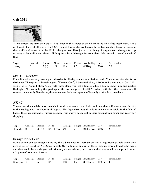#### Colt 1911



A true officers sidearm the Colt 1911 has been in the service of the US since the time of its installment, it is a preferred choice of officers in the UCAS armed forces who are looking for a distinguished look, but without the sacrifice of power. And the 1911 is the gun that offers just that. Although it supplements damage for clip capacity a few well aimed shots will do quite a bit of damage, its exemplary field record is proof enough of that.

| Type    |  |  | Conceal Ammo Mode Damage Weight Availability Cost Street Index |  |
|---------|--|--|----------------------------------------------------------------|--|
| Heavy 6 |  |  | 7 (c) SS 10M 3.2 $4/8$ Days 780¥ 2.8                           |  |

#### *LIMITED OFFER!!*

For a limited time only Nostalgia Industries is offering a once in a lifetime deal. You can receive the Auto-Ordnance Thompson Submachinegun, "Tommy Gun", 2 30round clips, 1 100round drum and a Colt 1911 with 3 of its 7round clips. Along with these items you get a limited edition NA 'member' pin and pocket flashlight. We are selling this package at the low low price of 2,000¥. Along with the other items you will receive the monthly Newsletter, discussing new deals and special offers only available to members.

#### AK-47

You've seen this models newer models in work, and more than likely used one, that is if you've read this far in the catalog, now see where it all began. This legendary Assault rifle is now yours to wield in the field of battle, these are authentic Russian models, from wayyy back, still in their original wax paper and ready for shipping.

| Type      | Conceal Ammo Mode |                       |                 | Damage Weight Availability Cost | – Street Index |
|-----------|-------------------|-----------------------|-----------------|---------------------------------|----------------|
| Assault 2 |                   | $30(c)$ SA/BF/FA $9M$ | $6\phantom{.0}$ | 24/14Days 900¥ 2                |                |

#### Savage Model 77E

Pump action combat shotgun used by the US marines in Vietnam on those long recon patrols when they needed power to cut the Viet Cong in half. Only a limited amount of these shotguns were allowed to be made and they would be a truly great addition to your mantle, or your trunk, either way you'll be the proud owner of a piece of American history.

| Type Conceal Ammo Mode |  |  |                                       | Damage Weight Availability Cost Street Index |
|------------------------|--|--|---------------------------------------|----------------------------------------------|
| Shotgun 4 5 SA         |  |  | 12S 4.5 $8/12$ Days 1100 $\text{Y}$ 3 |                                              |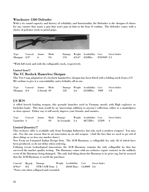#### Winchester 1300 Defender

With a six round capacity and history of reliability and functionality the Defender is the shotgun of choice for any runner that wants a gun that won't jam on him in the heat of combat. The defender comes with a choice of polymer stock or pistol grips.



| Type            | Conceal Ammo Mode |          |      |     | Damage Weight Availability Cost | – Street Index |
|-----------------|-------------------|----------|------|-----|---------------------------------|----------------|
| Shotgun $2/4^*$ |                   | $\sim$ 6 | - SA | 11S | $4/3.6^*$ 4/24Hrs 870/950 2.5   |                |

\*With full stock and with the collapsable stock, respectively.

#### Limited Item!!!

#### The VC Boxlock Hamerless Shotgun

This Viet Cong adaptation of a boxlock hammerless shotgun has been fitted with a folding stock from a US M1 carbine to give it a concealability and a lethality all in one.

| Type                                | Conceal Ammo Mode |              |  | Damage Weight Availability Cost | Street Index |
|-------------------------------------|-------------------|--------------|--|---------------------------------|--------------|
| $\frac{\text{Shotgun}}{\text{6/4}}$ |                   | 2 (break SS) |  | $12S$ 3.6 $24/48Hrs$ 700¥ 1.8   |              |

#### US M79

A rifled breech loading weapon, this grenade launcher used in Vietnam, mostly with High explosive or buckshot loads. This item would be an 'interesting' addition to anyone's collection, either as a mantelpiece or door opener. Either way it will surely impress your friends, and enemies.

|            |  | Type Conceal Ammo Mode Damage           | Weight Availability Cost Street Index |  |
|------------|--|-----------------------------------------|---------------------------------------|--|
| Launcher 4 |  | 1 SS As Grenade 3.4 $48/72$ Hrs 1250¥ 4 |                                       |  |

#### *Limited Quantity!!!*

This exclusive offer is available only from Nostalgia Industries, *but why such a modern weapon?* You may ask. For the one reason that its an innovation on an old weapon. (And the fact that we need to get rid of these things or we lose our market share)

New From an Unnamed Italian Design firm. The ACB Harmony, a collapsible bo, only 48 of which have been produced, so do not delay when ordering.

Utilizing recent technological innovations the ACB Harmony remains the only collapsible bo that has survived the market quality testing. The Harmony comes with an exclusive repair contract in the unlikely event of the Harmony being damaged. The only bad thing about the Harmony is its price tag, but be assured that the ACB Harmony is worth the purchase.

Conceal Reach Damage Weight Availability Cost Street Index  $8/Not^*$  0/2 STR + 3(M Stun) 2 20/60 Days 14,000 + 3.6 \*Notes stat when collapsed and extended.